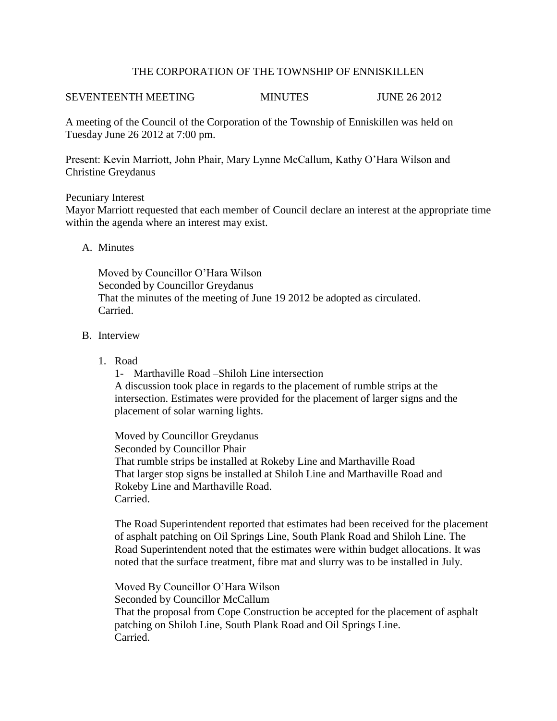## THE CORPORATION OF THE TOWNSHIP OF ENNISKILLEN

# SEVENTEENTH MEETING MINUTES JUNE 26 2012

A meeting of the Council of the Corporation of the Township of Enniskillen was held on Tuesday June 26 2012 at 7:00 pm.

Present: Kevin Marriott, John Phair, Mary Lynne McCallum, Kathy O'Hara Wilson and Christine Greydanus

## Pecuniary Interest

Mayor Marriott requested that each member of Council declare an interest at the appropriate time within the agenda where an interest may exist.

## A. Minutes

Moved by Councillor O'Hara Wilson Seconded by Councillor Greydanus That the minutes of the meeting of June 19 2012 be adopted as circulated. Carried.

## B. Interview

1. Road

1- Marthaville Road –Shiloh Line intersection A discussion took place in regards to the placement of rumble strips at the intersection. Estimates were provided for the placement of larger signs and the placement of solar warning lights.

Moved by Councillor Greydanus Seconded by Councillor Phair That rumble strips be installed at Rokeby Line and Marthaville Road That larger stop signs be installed at Shiloh Line and Marthaville Road and Rokeby Line and Marthaville Road. Carried.

The Road Superintendent reported that estimates had been received for the placement of asphalt patching on Oil Springs Line, South Plank Road and Shiloh Line. The Road Superintendent noted that the estimates were within budget allocations. It was noted that the surface treatment, fibre mat and slurry was to be installed in July.

Moved By Councillor O'Hara Wilson Seconded by Councillor McCallum That the proposal from Cope Construction be accepted for the placement of asphalt patching on Shiloh Line, South Plank Road and Oil Springs Line. Carried.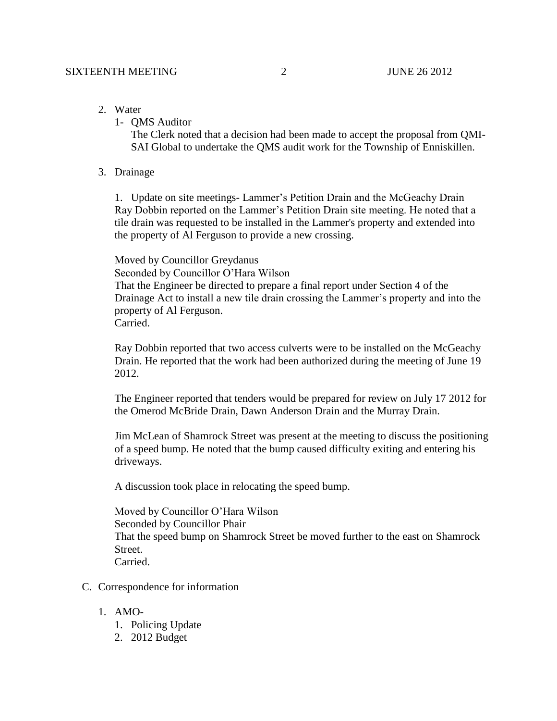- 2. Water
	- 1- QMS Auditor

The Clerk noted that a decision had been made to accept the proposal from QMI-SAI Global to undertake the QMS audit work for the Township of Enniskillen.

3. Drainage

1. Update on site meetings- Lammer's Petition Drain and the McGeachy Drain Ray Dobbin reported on the Lammer's Petition Drain site meeting. He noted that a tile drain was requested to be installed in the Lammer's property and extended into the property of Al Ferguson to provide a new crossing.

Moved by Councillor Greydanus

Seconded by Councillor O'Hara Wilson

That the Engineer be directed to prepare a final report under Section 4 of the Drainage Act to install a new tile drain crossing the Lammer's property and into the property of Al Ferguson. **Carried** 

Ray Dobbin reported that two access culverts were to be installed on the McGeachy Drain. He reported that the work had been authorized during the meeting of June 19 2012.

The Engineer reported that tenders would be prepared for review on July 17 2012 for the Omerod McBride Drain, Dawn Anderson Drain and the Murray Drain.

Jim McLean of Shamrock Street was present at the meeting to discuss the positioning of a speed bump. He noted that the bump caused difficulty exiting and entering his driveways.

A discussion took place in relocating the speed bump.

Moved by Councillor O'Hara Wilson Seconded by Councillor Phair That the speed bump on Shamrock Street be moved further to the east on Shamrock Street. Carried.

- C. Correspondence for information
	- 1. AMO-
		- 1. Policing Update
		- 2. 2012 Budget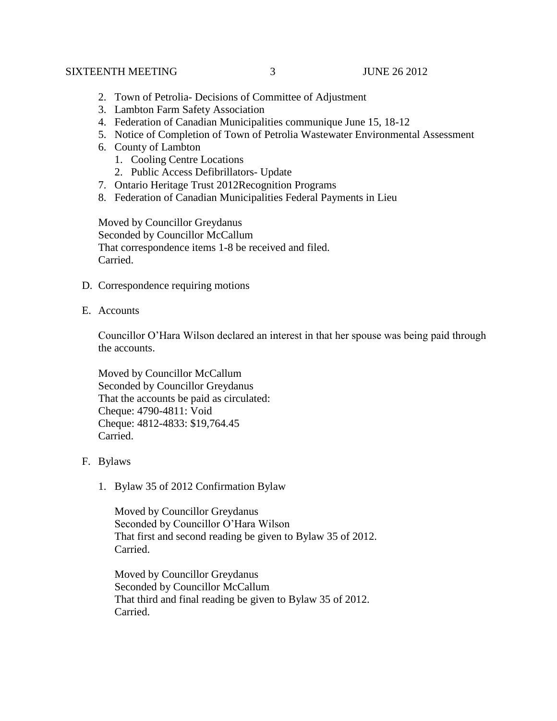#### SIXTEENTH MEETING  $\overline{3}$  JUNE 26 2012

- 2. Town of Petrolia- Decisions of Committee of Adjustment
- 3. Lambton Farm Safety Association
- 4. Federation of Canadian Municipalities communique June 15, 18-12
- 5. Notice of Completion of Town of Petrolia Wastewater Environmental Assessment
- 6. County of Lambton
	- 1. Cooling Centre Locations
	- 2. Public Access Defibrillators- Update
- 7. Ontario Heritage Trust 2012Recognition Programs
- 8. Federation of Canadian Municipalities Federal Payments in Lieu

Moved by Councillor Greydanus Seconded by Councillor McCallum That correspondence items 1-8 be received and filed. Carried.

- D. Correspondence requiring motions
- E. Accounts

Councillor O'Hara Wilson declared an interest in that her spouse was being paid through the accounts.

Moved by Councillor McCallum Seconded by Councillor Greydanus That the accounts be paid as circulated: Cheque: 4790-4811: Void Cheque: 4812-4833: \$19,764.45 Carried.

- F. Bylaws
	- 1. Bylaw 35 of 2012 Confirmation Bylaw

Moved by Councillor Greydanus Seconded by Councillor O'Hara Wilson That first and second reading be given to Bylaw 35 of 2012. Carried.

Moved by Councillor Greydanus Seconded by Councillor McCallum That third and final reading be given to Bylaw 35 of 2012. Carried.